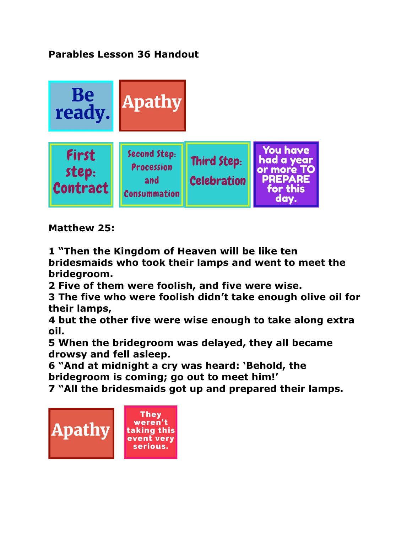**Parables Lesson 36 Handout** 



**Matthew 25:** 

**1 "Then the Kingdom of Heaven will be like ten bridesmaids who took their lamps and went to meet the bridegroom.** 

**2 Five of them were foolish, and five were wise.** 

**3 The five who were foolish didn't take enough olive oil for their lamps,** 

**4 but the other five were wise enough to take along extra oil.** 

**5 When the bridegroom was delayed, they all became drowsy and fell asleep.**

**6 "And at midnight a cry was heard: 'Behold, the bridegroom is coming; go out to meet him!'** 

**7 "All the bridesmaids got up and prepared their lamps.** 

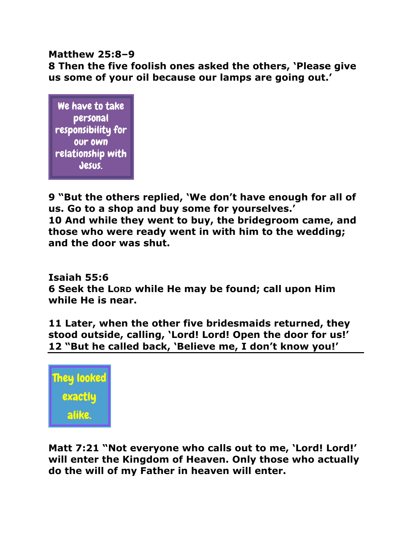# **Matthew 25:8–9 8 Then the five foolish ones asked the others, 'Please give us some of your oil because our lamps are going out.'**

We have to take personal responsibility for our own relationship with Jesus.

**9 "But the others replied, 'We don't have enough for all of us. Go to a shop and buy some for yourselves.' 10 And while they went to buy, the bridegroom came, and those who were ready went in with him to the wedding; and the door was shut.** 

**Isaiah 55:6 6 Seek the LORD while He may be found; call upon Him while He is near.** 

**11 Later, when the other five bridesmaids returned, they stood outside, calling, 'Lord! Lord! Open the door for us!' 12 "But he called back, 'Believe me, I don't know you!'** 



**Matt 7:21 "Not everyone who calls out to me, 'Lord! Lord!' will enter the Kingdom of Heaven. Only those who actually do the will of my Father in heaven will enter.**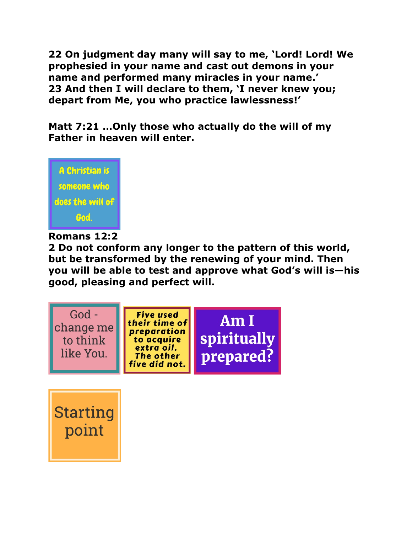**22 On judgment day many will say to me, 'Lord! Lord! We prophesied in your name and cast out demons in your name and performed many miracles in your name.' 23 And then I will declare to them, 'I never knew you; depart from Me, you who practice lawlessness!'** 

**Matt 7:21 …Only those who actually do the will of my Father in heaven will enter.**



## **Romans 12:2**

**2 Do not conform any longer to the pattern of this world, but be transformed by the renewing of your mind. Then you will be able to test and approve what God's will is—his good, pleasing and perfect will.** 



**Starting** point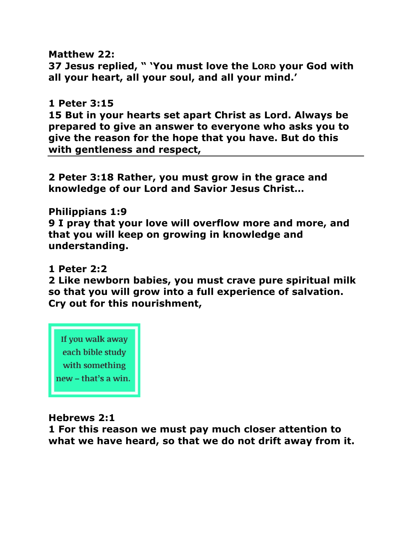**Matthew 22: 37 Jesus replied, " 'You must love the LORD your God with all your heart, all your soul, and all your mind.'** 

### **1 Peter 3:15**

**15 But in your hearts set apart Christ as Lord. Always be prepared to give an answer to everyone who asks you to give the reason for the hope that you have. But do this with gentleness and respect,** 

**2 Peter 3:18 Rather, you must grow in the grace and knowledge of our Lord and Savior Jesus Christ…** 

**Philippians 1:9 9 I pray that your love will overflow more and more, and that you will keep on growing in knowledge and understanding.** 

#### **1 Peter 2:2**

**2 Like newborn babies, you must crave pure spiritual milk so that you will grow into a full experience of salvation. Cry out for this nourishment,** 



### **Hebrews 2:1**

**1 For this reason we must pay much closer attention to what we have heard, so that we do not drift away from it.**